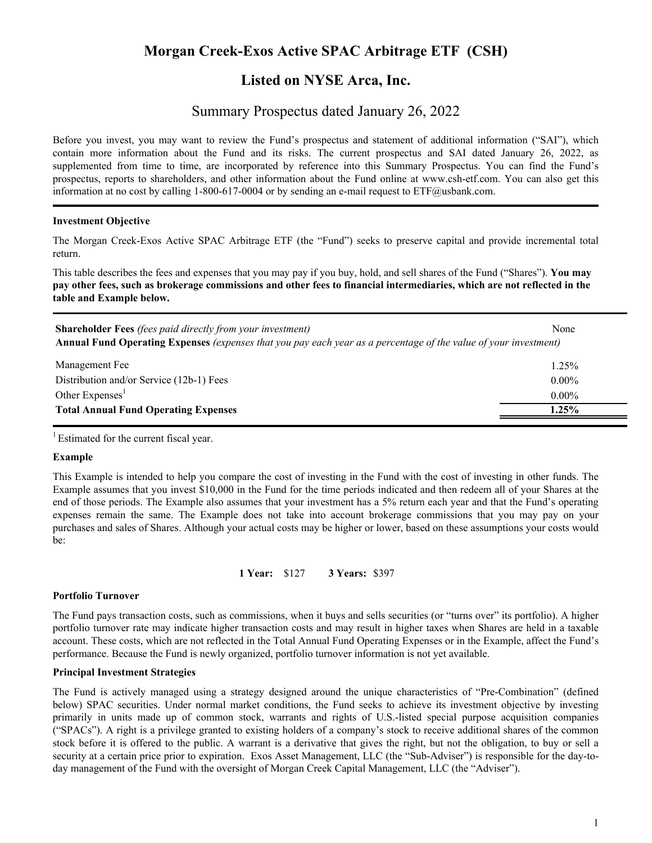# **Morgan Creek-Exos Active SPAC Arbitrage ETF (CSH)**

## **Listed on NYSE Arca, Inc.**

## Summary Prospectus dated January 26, 2022

Before you invest, you may want to review the Fund's prospectus and statement of additional information ("SAI"), which contain more information about the Fund and its risks. The current prospectus and SAI dated January 26, 2022, as supplemented from time to time, are incorporated by reference into this Summary Prospectus. You can find the Fund's prospectus, reports to shareholders, and other information about the Fund online at www.csh-etf.com. You can also get this information at no cost by calling 1-800-617-0004 or by sending an e-mail request to ETF@usbank.com.

## **Investment Objective**

The Morgan Creek-Exos Active SPAC Arbitrage ETF (the "Fund") seeks to preserve capital and provide incremental total return.

This table describes the fees and expenses that you may pay if you buy, hold, and sell shares of the Fund ("Shares"). **You may pay other fees, such as brokerage commissions and other fees to financial intermediaries, which are not reflected in the table and Example below.**

| <b>Shareholder Fees</b> (fees paid directly from your investment)<br>Annual Fund Operating Expenses (expenses that you pay each year as a percentage of the value of your investment) | None     |
|---------------------------------------------------------------------------------------------------------------------------------------------------------------------------------------|----------|
| Management Fee                                                                                                                                                                        | 1.25%    |
| Distribution and/or Service (12b-1) Fees                                                                                                                                              | $0.00\%$ |
| Other Expenses <sup>1</sup>                                                                                                                                                           | $0.00\%$ |
| <b>Total Annual Fund Operating Expenses</b>                                                                                                                                           | $1.25\%$ |
|                                                                                                                                                                                       |          |

<sup>1</sup> Estimated for the current fiscal year.

## **Example**

This Example is intended to help you compare the cost of investing in the Fund with the cost of investing in other funds. The Example assumes that you invest \$10,000 in the Fund for the time periods indicated and then redeem all of your Shares at the end of those periods. The Example also assumes that your investment has a 5% return each year and that the Fund's operating expenses remain the same. The Example does not take into account brokerage commissions that you may pay on your purchases and sales of Shares. Although your actual costs may be higher or lower, based on these assumptions your costs would be:

**1 Year:** \$127 **3 Years:** \$397

#### **Portfolio Turnover**

The Fund pays transaction costs, such as commissions, when it buys and sells securities (or "turns over" its portfolio). A higher portfolio turnover rate may indicate higher transaction costs and may result in higher taxes when Shares are held in a taxable account. These costs, which are not reflected in the Total Annual Fund Operating Expenses or in the Example, affect the Fund's performance. Because the Fund is newly organized, portfolio turnover information is not yet available.

#### **Principal Investment Strategies**

The Fund is actively managed using a strategy designed around the unique characteristics of "Pre-Combination" (defined below) SPAC securities. Under normal market conditions, the Fund seeks to achieve its investment objective by investing primarily in units made up of common stock, warrants and rights of U.S.-listed special purpose acquisition companies ("SPACs"). A right is a privilege granted to existing holders of a company's stock to receive additional shares of the common stock before it is offered to the public. A warrant is a derivative that gives the right, but not the obligation, to buy or sell a security at a certain price prior to expiration. Exos Asset Management, LLC (the "Sub-Adviser") is responsible for the day-today management of the Fund with the oversight of Morgan Creek Capital Management, LLC (the "Adviser").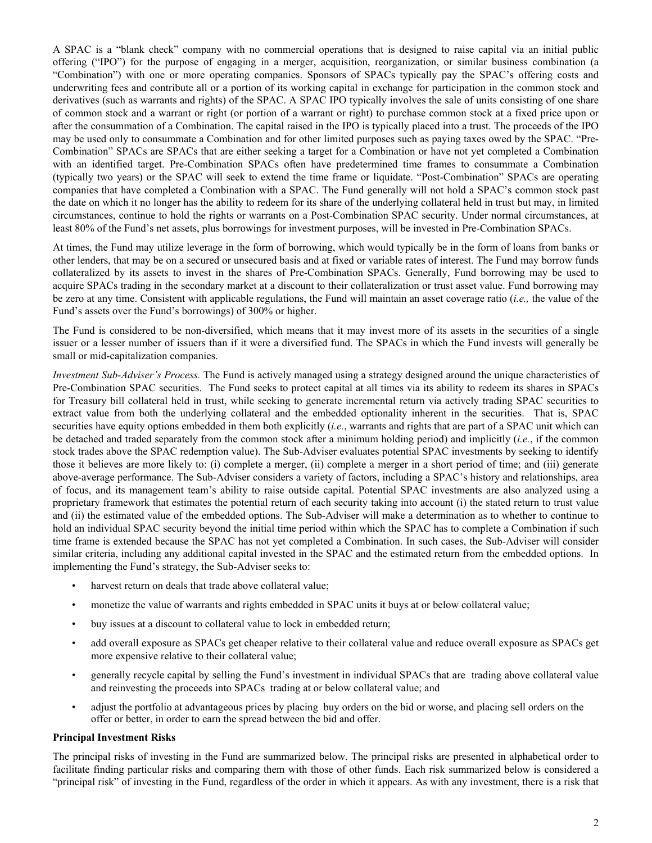A SPAC is a "blank check" company with no commercial operations that is designed to raise capital via an initial public offering ("IPO") for the purpose of engaging in a merger, acquisition, reorganization, or similar business combination (a "Combination") with one or more operating companies. Sponsors of SPACs typically pay the SPAC's offering costs and underwriting fees and contribute all or a portion of its working capital in exchange for participation in the common stock and derivatives (such as warrants and rights) of the SPAC. A SPAC IPO typically involves the sale of units consisting of one share of common stock and a warrant or right (or portion of a warrant or right) to purchase common stock at a fixed price upon or after the consummation of a Combination. The capital raised in the IPO is typically placed into a trust. The proceeds of the IPO may be used only to consummate a Combination and for other limited purposes such as paying taxes owed by the SPAC. "Pre-Combination" SPACs are SPACs that are either seeking a target for a Combination or have not yet completed a Combination with an identified target. Pre-Combination SPACs often have predetermined time frames to consummate a Combination (typically two years) or the SPAC will seek to extend the time frame or liquidate. "Post-Combination" SPACs are operating companies that have completed a Combination with a SPAC. The Fund generally will not hold a SPAC's common stock past the date on which it no longer has the ability to redeem for its share of the underlying collateral held in trust but may, in limited circumstances, continue to hold the rights or warrants on a Post-Combination SPAC security. Under normal circumstances, at least 80% of the Fund's net assets, plus borrowings for investment purposes, will be invested in Pre-Combination SPACs.

At times, the Fund may utilize leverage in the form of borrowing, which would typically be in the form of loans from banks or other lenders, that may be on a secured or unsecured basis and at fixed or variable rates of interest. The Fund may borrow funds collateralized by its assets to invest in the shares of Pre-Combination SPACs. Generally, Fund borrowing may be used to acquire SPACs trading in the secondary market at a discount to their collateralization or trust asset value. Fund borrowing may be zero at any time. Consistent with applicable regulations, the Fund will maintain an asset coverage ratio (*i.e.,* the value of the Fund's assets over the Fund's borrowings) of 300% or higher.

The Fund is considered to be non-diversified, which means that it may invest more of its assets in the securities of a single issuer or a lesser number of issuers than if it were a diversified fund. The SPACs in which the Fund invests will generally be small or mid-capitalization companies.

*Investment Sub-Adviser's Process.* The Fund is actively managed using a strategy designed around the unique characteristics of Pre-Combination SPAC securities. The Fund seeks to protect capital at all times via its ability to redeem its shares in SPACs for Treasury bill collateral held in trust, while seeking to generate incremental return via actively trading SPAC securities to extract value from both the underlying collateral and the embedded optionality inherent in the securities. That is, SPAC securities have equity options embedded in them both explicitly (*i.e.*, warrants and rights that are part of a SPAC unit which can be detached and traded separately from the common stock after a minimum holding period) and implicitly (*i.e.*, if the common stock trades above the SPAC redemption value). The Sub-Adviser evaluates potential SPAC investments by seeking to identify those it believes are more likely to: (i) complete a merger, (ii) complete a merger in a short period of time; and (iii) generate above-average performance. The Sub-Adviser considers a variety of factors, including a SPAC's history and relationships, area of focus, and its management team's ability to raise outside capital. Potential SPAC investments are also analyzed using a proprietary framework that estimates the potential return of each security taking into account (i) the stated return to trust value and (ii) the estimated value of the embedded options. The Sub-Adviser will make a determination as to whether to continue to hold an individual SPAC security beyond the initial time period within which the SPAC has to complete a Combination if such time frame is extended because the SPAC has not yet completed a Combination. In such cases, the Sub-Adviser will consider similar criteria, including any additional capital invested in the SPAC and the estimated return from the embedded options. In implementing the Fund's strategy, the Sub-Adviser seeks to:

- harvest return on deals that trade above collateral value;
- monetize the value of warrants and rights embedded in SPAC units it buys at or below collateral value;
- buy issues at a discount to collateral value to lock in embedded return;
- add overall exposure as SPACs get cheaper relative to their collateral value and reduce overall exposure as SPACs get more expensive relative to their collateral value;
- generally recycle capital by selling the Fund's investment in individual SPACs that are trading above collateral value and reinvesting the proceeds into SPACs trading at or below collateral value; and
- adjust the portfolio at advantageous prices by placing buy orders on the bid or worse, and placing sell orders on the offer or better, in order to earn the spread between the bid and offer.

#### **Principal Investment Risks**

The principal risks of investing in the Fund are summarized below. The principal risks are presented in alphabetical order to facilitate finding particular risks and comparing them with those of other funds. Each risk summarized below is considered a "principal risk" of investing in the Fund, regardless of the order in which it appears. As with any investment, there is a risk that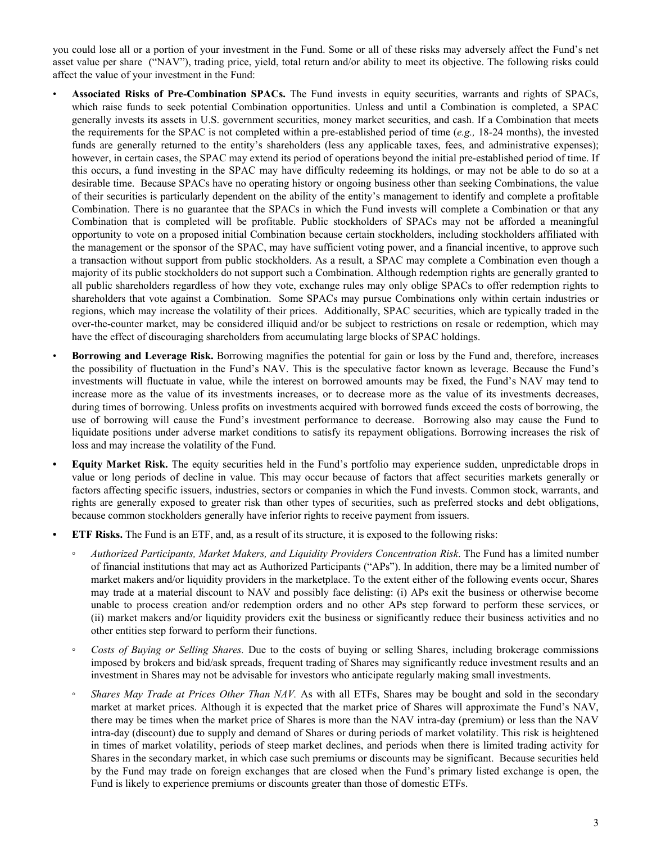you could lose all or a portion of your investment in the Fund. Some or all of these risks may adversely affect the Fund's net asset value per share ("NAV"), trading price, yield, total return and/or ability to meet its objective. The following risks could affect the value of your investment in the Fund:

- **Associated Risks of Pre-Combination SPACs.** The Fund invests in equity securities, warrants and rights of SPACs, which raise funds to seek potential Combination opportunities. Unless and until a Combination is completed, a SPAC generally invests its assets in U.S. government securities, money market securities, and cash. If a Combination that meets the requirements for the SPAC is not completed within a pre-established period of time (*e.g.,* 18-24 months), the invested funds are generally returned to the entity's shareholders (less any applicable taxes, fees, and administrative expenses); however, in certain cases, the SPAC may extend its period of operations beyond the initial pre-established period of time. If this occurs, a fund investing in the SPAC may have difficulty redeeming its holdings, or may not be able to do so at a desirable time. Because SPACs have no operating history or ongoing business other than seeking Combinations, the value of their securities is particularly dependent on the ability of the entity's management to identify and complete a profitable Combination. There is no guarantee that the SPACs in which the Fund invests will complete a Combination or that any Combination that is completed will be profitable. Public stockholders of SPACs may not be afforded a meaningful opportunity to vote on a proposed initial Combination because certain stockholders, including stockholders affiliated with the management or the sponsor of the SPAC, may have sufficient voting power, and a financial incentive, to approve such a transaction without support from public stockholders. As a result, a SPAC may complete a Combination even though a majority of its public stockholders do not support such a Combination. Although redemption rights are generally granted to all public shareholders regardless of how they vote, exchange rules may only oblige SPACs to offer redemption rights to shareholders that vote against a Combination. Some SPACs may pursue Combinations only within certain industries or regions, which may increase the volatility of their prices. Additionally, SPAC securities, which are typically traded in the over-the-counter market, may be considered illiquid and/or be subject to restrictions on resale or redemption, which may have the effect of discouraging shareholders from accumulating large blocks of SPAC holdings.
- **Borrowing and Leverage Risk.** Borrowing magnifies the potential for gain or loss by the Fund and, therefore, increases the possibility of fluctuation in the Fund's NAV. This is the speculative factor known as leverage. Because the Fund's investments will fluctuate in value, while the interest on borrowed amounts may be fixed, the Fund's NAV may tend to increase more as the value of its investments increases, or to decrease more as the value of its investments decreases, during times of borrowing. Unless profits on investments acquired with borrowed funds exceed the costs of borrowing, the use of borrowing will cause the Fund's investment performance to decrease. Borrowing also may cause the Fund to liquidate positions under adverse market conditions to satisfy its repayment obligations. Borrowing increases the risk of loss and may increase the volatility of the Fund.
- **• Equity Market Risk.** The equity securities held in the Fund's portfolio may experience sudden, unpredictable drops in value or long periods of decline in value. This may occur because of factors that affect securities markets generally or factors affecting specific issuers, industries, sectors or companies in which the Fund invests. Common stock, warrants, and rights are generally exposed to greater risk than other types of securities, such as preferred stocks and debt obligations, because common stockholders generally have inferior rights to receive payment from issuers.
- **• ETF Risks.** The Fund is an ETF, and, as a result of its structure, it is exposed to the following risks:
	- *◦ Authorized Participants, Market Makers, and Liquidity Providers Concentration Risk*. The Fund has a limited number of financial institutions that may act as Authorized Participants ("APs"). In addition, there may be a limited number of market makers and/or liquidity providers in the marketplace. To the extent either of the following events occur, Shares may trade at a material discount to NAV and possibly face delisting: (i) APs exit the business or otherwise become unable to process creation and/or redemption orders and no other APs step forward to perform these services, or (ii) market makers and/or liquidity providers exit the business or significantly reduce their business activities and no other entities step forward to perform their functions.
	- *◦ Costs of Buying or Selling Shares.* Due to the costs of buying or selling Shares, including brokerage commissions imposed by brokers and bid/ask spreads, frequent trading of Shares may significantly reduce investment results and an investment in Shares may not be advisable for investors who anticipate regularly making small investments.
	- *Shares May Trade at Prices Other Than NAV.* As with all ETFs, Shares may be bought and sold in the secondary market at market prices. Although it is expected that the market price of Shares will approximate the Fund's NAV, there may be times when the market price of Shares is more than the NAV intra-day (premium) or less than the NAV intra-day (discount) due to supply and demand of Shares or during periods of market volatility. This risk is heightened in times of market volatility, periods of steep market declines, and periods when there is limited trading activity for Shares in the secondary market, in which case such premiums or discounts may be significant. Because securities held by the Fund may trade on foreign exchanges that are closed when the Fund's primary listed exchange is open, the Fund is likely to experience premiums or discounts greater than those of domestic ETFs.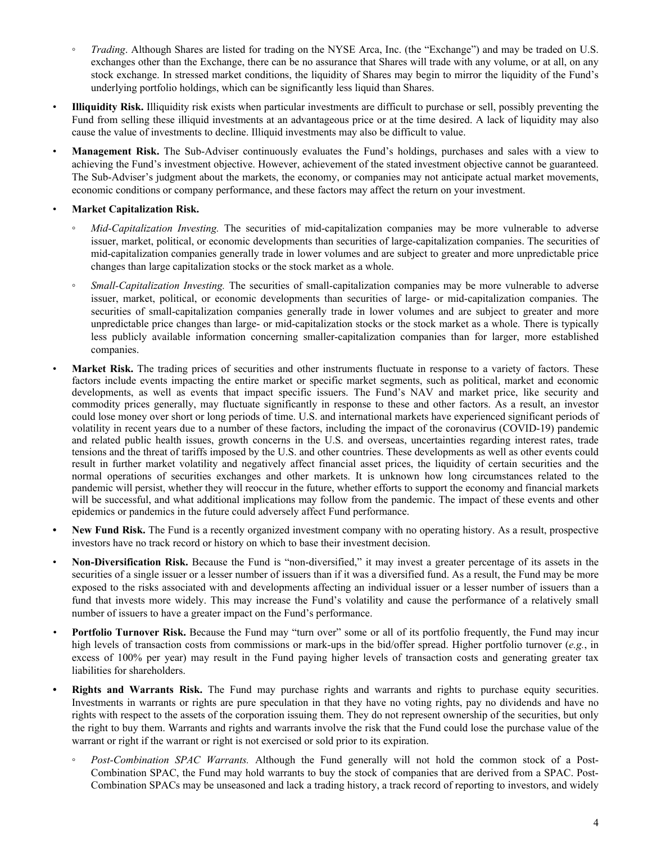- *Trading*. Although Shares are listed for trading on the NYSE Arca, Inc. (the "Exchange") and may be traded on U.S. exchanges other than the Exchange, there can be no assurance that Shares will trade with any volume, or at all, on any stock exchange. In stressed market conditions, the liquidity of Shares may begin to mirror the liquidity of the Fund's underlying portfolio holdings, which can be significantly less liquid than Shares.
- **Illiquidity Risk.** Illiquidity risk exists when particular investments are difficult to purchase or sell, possibly preventing the Fund from selling these illiquid investments at an advantageous price or at the time desired. A lack of liquidity may also cause the value of investments to decline. Illiquid investments may also be difficult to value.
- **Management Risk.** The Sub-Adviser continuously evaluates the Fund's holdings, purchases and sales with a view to achieving the Fund's investment objective. However, achievement of the stated investment objective cannot be guaranteed. The Sub-Adviser's judgment about the markets, the economy, or companies may not anticipate actual market movements, economic conditions or company performance, and these factors may affect the return on your investment.

## • **Market Capitalization Risk.**

- *Mid-Capitalization Investing.* The securities of mid-capitalization companies may be more vulnerable to adverse issuer, market, political, or economic developments than securities of large-capitalization companies. The securities of mid-capitalization companies generally trade in lower volumes and are subject to greater and more unpredictable price changes than large capitalization stocks or the stock market as a whole.
- *Small-Capitalization Investing.* The securities of small-capitalization companies may be more vulnerable to adverse issuer, market, political, or economic developments than securities of large- or mid-capitalization companies. The securities of small-capitalization companies generally trade in lower volumes and are subject to greater and more unpredictable price changes than large- or mid-capitalization stocks or the stock market as a whole. There is typically less publicly available information concerning smaller-capitalization companies than for larger, more established companies.
- Market Risk. The trading prices of securities and other instruments fluctuate in response to a variety of factors. These factors include events impacting the entire market or specific market segments, such as political, market and economic developments, as well as events that impact specific issuers. The Fund's NAV and market price, like security and commodity prices generally, may fluctuate significantly in response to these and other factors. As a result, an investor could lose money over short or long periods of time. U.S. and international markets have experienced significant periods of volatility in recent years due to a number of these factors, including the impact of the coronavirus (COVID-19) pandemic and related public health issues, growth concerns in the U.S. and overseas, uncertainties regarding interest rates, trade tensions and the threat of tariffs imposed by the U.S. and other countries. These developments as well as other events could result in further market volatility and negatively affect financial asset prices, the liquidity of certain securities and the normal operations of securities exchanges and other markets. It is unknown how long circumstances related to the pandemic will persist, whether they will reoccur in the future, whether efforts to support the economy and financial markets will be successful, and what additional implications may follow from the pandemic. The impact of these events and other epidemics or pandemics in the future could adversely affect Fund performance.
- **• New Fund Risk.** The Fund is a recently organized investment company with no operating history. As a result, prospective investors have no track record or history on which to base their investment decision.
- **Non-Diversification Risk.** Because the Fund is "non-diversified," it may invest a greater percentage of its assets in the securities of a single issuer or a lesser number of issuers than if it was a diversified fund. As a result, the Fund may be more exposed to the risks associated with and developments affecting an individual issuer or a lesser number of issuers than a fund that invests more widely. This may increase the Fund's volatility and cause the performance of a relatively small number of issuers to have a greater impact on the Fund's performance.
- *•* **Portfolio Turnover Risk.** Because the Fund may "turn over" some or all of its portfolio frequently, the Fund may incur high levels of transaction costs from commissions or mark-ups in the bid/offer spread. Higher portfolio turnover (*e.g.*, in excess of 100% per year) may result in the Fund paying higher levels of transaction costs and generating greater tax liabilities for shareholders.
- **Rights and Warrants Risk.** The Fund may purchase rights and warrants and rights to purchase equity securities. Investments in warrants or rights are pure speculation in that they have no voting rights, pay no dividends and have no rights with respect to the assets of the corporation issuing them. They do not represent ownership of the securities, but only the right to buy them. Warrants and rights and warrants involve the risk that the Fund could lose the purchase value of the warrant or right if the warrant or right is not exercised or sold prior to its expiration.
	- *Post-Combination SPAC Warrants.* Although the Fund generally will not hold the common stock of a Post-Combination SPAC, the Fund may hold warrants to buy the stock of companies that are derived from a SPAC. Post-Combination SPACs may be unseasoned and lack a trading history, a track record of reporting to investors, and widely